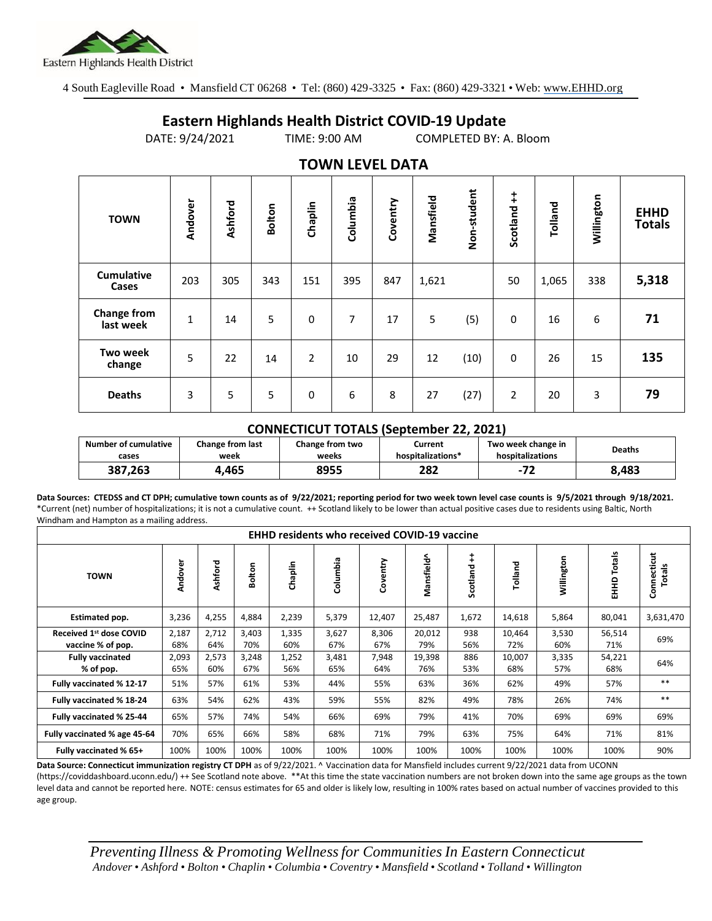

age group.

4 South Eagleville Road • Mansfield CT 06268 • Tel: (860) 429-3325 • Fax: (860) 429-3321 • Web: www.EHHD.org

## **Eastern Highlands Health District COVID-19 Update**

DATE: 9/24/2021 TIME: 9:00 AM COMPLETED BY: A. Bloom

| . <del>.</del>                  |             |         |        |                |          |          |           |             |                        |         |            |                              |
|---------------------------------|-------------|---------|--------|----------------|----------|----------|-----------|-------------|------------------------|---------|------------|------------------------------|
| <b>TOWN</b>                     | Andover     | Ashford | Bolton | Chaplin        | Columbia | Coventry | Mansfield | Non-student | $\ddagger$<br>Scotland | Tolland | Willington | <b>EHHD</b><br><b>Totals</b> |
| <b>Cumulative</b><br>Cases      | 203         | 305     | 343    | 151            | 395      | 847      | 1,621     |             | 50                     | 1,065   | 338        | 5,318                        |
| <b>Change from</b><br>last week | $\mathbf 1$ | 14      | 5      | 0              | 7        | 17       | 5         | (5)         | 0                      | 16      | 6          | 71                           |
| <b>Two week</b><br>change       | 5           | 22      | 14     | $\overline{2}$ | 10       | 29       | 12        | (10)        | $\mathbf 0$            | 26      | 15         | 135                          |
| <b>Deaths</b>                   | 3           | 5       | 5      | 0              | 6        | 8        | 27        | (27)        | $\overline{2}$         | 20      | 3          | 79                           |

## **TOWN LEVEL DATA**

## **CONNECTICUT TOTALS (September 22, 2021)**

| <b>Number of cumulative</b> | Change from last | Change from two | Current           | Two week change in | <b>Deaths</b> |  |
|-----------------------------|------------------|-----------------|-------------------|--------------------|---------------|--|
| cases                       | week             | weeks           | hospitalizations* | hospitalizations   |               |  |
| 387.263                     | .465             | 8955            | 282               | 71                 | 8.483         |  |

**Data Sources: CTEDSS and CT DPH; cumulative town counts as of 9/22/2021; reporting period for two week town level case counts is 9/5/2021 through 9/18/2021.** \*Current (net) number of hospitalizations; it is not a cumulative count. ++ Scotland likely to be lower than actual positive cases due to residents using Baltic, North Windham and Hampton as a mailing address.

| <b>EHHD residents who received COVID-19 vaccine</b>      |              |              |              |              |              |              |               |               |               |              |                  |                       |
|----------------------------------------------------------|--------------|--------------|--------------|--------------|--------------|--------------|---------------|---------------|---------------|--------------|------------------|-----------------------|
| <b>TOWN</b>                                              | Andover      | Ashford      | olton<br>ō   | Chaplin      | Columbia     | Coventry     | Mansfield^    | ŧ<br>Scotland | Tolland       | Willington   | Totals<br>요<br>표 | Connecticut<br>Totals |
| Estimated pop.                                           | 3,236        | 4,255        | 4,884        | 2,239        | 5,379        | 12,407       | 25,487        | 1,672         | 14,618        | 5,864        | 80,041           | 3,631,470             |
| Received 1 <sup>st</sup> dose COVID<br>vaccine % of pop. | 2,187<br>68% | 2,712<br>64% | 3,403<br>70% | 1,335<br>60% | 3,627<br>67% | 8,306<br>67% | 20,012<br>79% | 938<br>56%    | 10,464<br>72% | 3,530<br>60% | 56,514<br>71%    | 69%                   |
| <b>Fully vaccinated</b><br>% of pop.                     | 2,093<br>65% | 2,573<br>60% | 3,248<br>67% | 1,252<br>56% | 3,481<br>65% | 7,948<br>64% | 19,398<br>76% | 886<br>53%    | 10,007<br>68% | 3,335<br>57% | 54,221<br>68%    | 64%                   |
| Fully vaccinated % 12-17                                 | 51%          | 57%          | 61%          | 53%          | 44%          | 55%          | 63%           | 36%           | 62%           | 49%          | 57%              | $***$                 |
| Fully vaccinated % 18-24                                 | 63%          | 54%          | 62%          | 43%          | 59%          | 55%          | 82%           | 49%           | 78%           | 26%          | 74%              | $***$                 |
| Fully vaccinated % 25-44                                 | 65%          | 57%          | 74%          | 54%          | 66%          | 69%          | 79%           | 41%           | 70%           | 69%          | 69%              | 69%                   |
| Fully vaccinated % age 45-64                             | 70%          | 65%          | 66%          | 58%          | 68%          | 71%          | 79%           | 63%           | 75%           | 64%          | 71%              | 81%                   |
| Fully vaccinated % 65+                                   | 100%         | 100%         | 100%         | 100%         | 100%         | 100%         | 100%          | 100%          | 100%          | 100%         | 100%             | 90%                   |

**Data Source: Connecticut immunization registry CT DPH** as of 9/22/2021. ^ Vaccination data for Mansfield includes current 9/22/2021 data from UCONN (https://coviddashboard.uconn.edu/) ++ See Scotland note above. \*\*At this time the state vaccination numbers are not broken down into the same age groups as the town level data and cannot be reported here. NOTE: census estimates for 65 and older is likely low, resulting in 100% rates based on actual number of vaccines provided to this

*Preventing Illness & Promoting Wellnessfor Communities In Eastern Connecticut* Andover . Ashford . Bolton . Chaplin . Columbia . Coventry . Mansfield . Scotland . Tolland . Willington